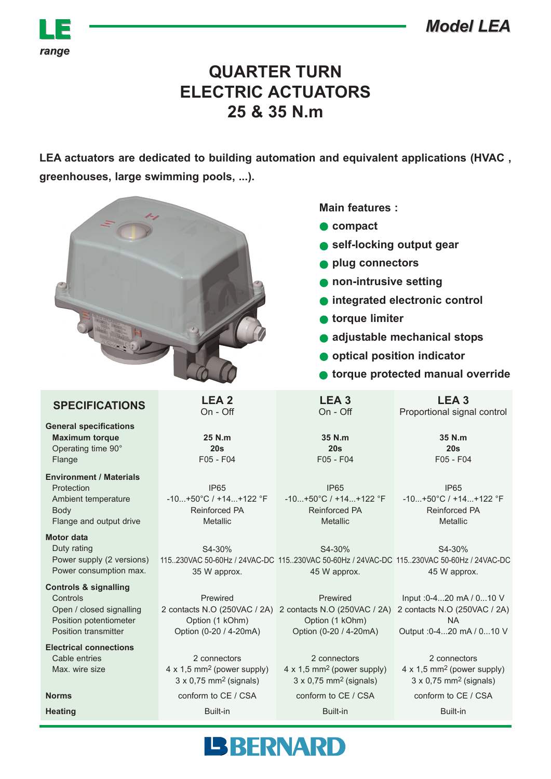*Model LEA Model LEA*



## **QUARTER TURN ELECTRIC ACTUATORS 25 & 35 N.m**

**LEA actuators are dedicated to building automation and equivalent applications (HVAC , greenhouses, large swimming pools, ...).**

|                                                                                                                                   |                                                                                                            | <b>Main features:</b><br>compact<br>self-locking output gear<br>plug connectors<br>non-intrusive setting<br>integrated electronic control<br>torque limiter<br>adjustable mechanical stops<br>optical position indicator<br>torque protected manual override |                                                                                                     |
|-----------------------------------------------------------------------------------------------------------------------------------|------------------------------------------------------------------------------------------------------------|--------------------------------------------------------------------------------------------------------------------------------------------------------------------------------------------------------------------------------------------------------------|-----------------------------------------------------------------------------------------------------|
| <b>SPECIFICATIONS</b>                                                                                                             | LEA <sub>2</sub><br>On - Off                                                                               | LEA <sub>3</sub><br>On - Off                                                                                                                                                                                                                                 | LEA <sub>3</sub><br>Proportional signal control                                                     |
| <b>General specifications</b><br><b>Maximum torque</b><br>Operating time 90°<br>Flange                                            | 25 N.m<br>20s<br>F05 - F04                                                                                 | 35 N.m<br>20s<br>F05 - F04                                                                                                                                                                                                                                   | 35 N.m<br>20s<br>F05 - F04                                                                          |
| <b>Environment / Materials</b><br>Protection<br>Ambient temperature<br><b>Body</b><br>Flange and output drive                     | <b>IP65</b><br>$-10+50^{\circ}C$ / +14+122 $^{\circ}F$<br>Reinforced PA<br>Metallic                        | <b>IP65</b><br>$-10+50^{\circ}C$ / +14+122 °F<br><b>Reinforced PA</b><br><b>Metallic</b>                                                                                                                                                                     | <b>IP65</b><br>$-10+50^{\circ}C$ / +14+122 °F<br><b>Reinforced PA</b><br>Metallic                   |
| <b>Motor data</b><br>Duty rating<br>Power supply (2 versions)<br>Power consumption max.                                           | S4-30%<br>35 W approx.                                                                                     | S4-30%<br>115230VAC 50-60Hz / 24VAC-DC 115230VAC 50-60Hz / 24VAC-DC 115230VAC 50-60Hz / 24VAC-DC<br>45 W approx.                                                                                                                                             | S4-30%<br>45 W approx.                                                                              |
| <b>Controls &amp; signalling</b><br>Controls<br>Open / closed signalling<br>Position potentiometer<br><b>Position transmitter</b> | Prewired<br>Option (1 kOhm)<br>Option (0-20 / 4-20mA)                                                      | Prewired<br>2 contacts N.O (250VAC / 2A) 2 contacts N.O (250VAC / 2A) 2 contacts N.O (250VAC / 2A)<br>Option (1 kOhm)<br>Option (0-20 / 4-20mA)                                                                                                              | Input : 0-420 mA / 010 V<br><b>NA</b><br>Output : 0-420 mA / 010 V                                  |
| <b>Electrical connections</b><br>Cable entries<br>Max. wire size                                                                  | 2 connectors<br>$4 \times 1.5$ mm <sup>2</sup> (power supply)<br>$3 \times 0.75$ mm <sup>2</sup> (signals) | 2 connectors<br>4 x 1,5 mm <sup>2</sup> (power supply)<br>$3 \times 0,75$ mm <sup>2</sup> (signals)                                                                                                                                                          | 2 connectors<br>4 x 1,5 mm <sup>2</sup> (power supply)<br>$3 \times 0,75$ mm <sup>2</sup> (signals) |
| <b>Norms</b>                                                                                                                      | conform to CE / CSA                                                                                        | conform to CE / CSA                                                                                                                                                                                                                                          | conform to CE / CSA                                                                                 |
| <b>Heating</b>                                                                                                                    | Built-in                                                                                                   | Built-in                                                                                                                                                                                                                                                     | Built-in                                                                                            |
| <b>BBERNARD</b>                                                                                                                   |                                                                                                            |                                                                                                                                                                                                                                                              |                                                                                                     |